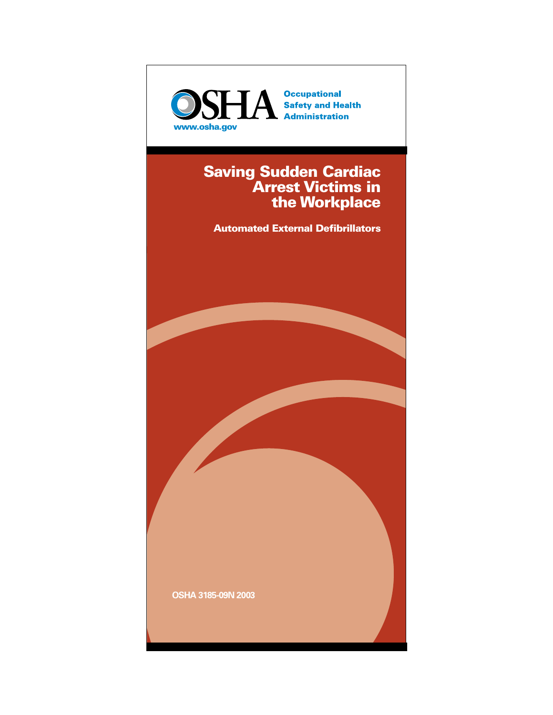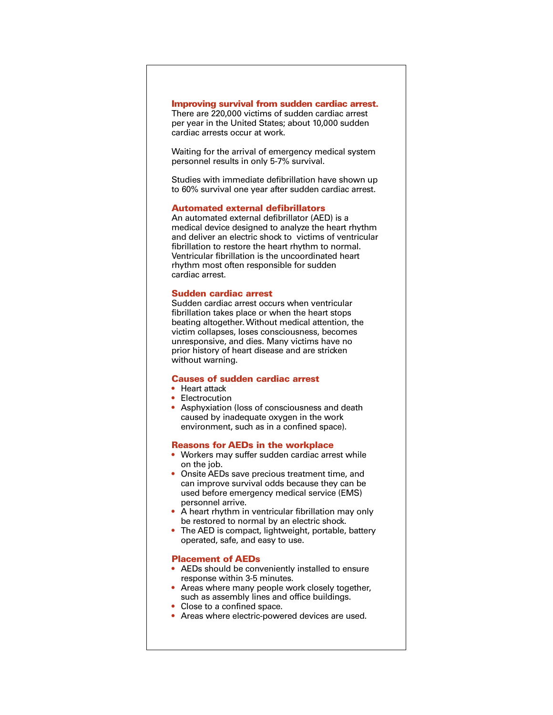#### **Improving survival from sudden cardiac arrest.**

There are 220,000 victims of sudden cardiac arrest per year in the United States; about 10,000 sudden cardiac arrests occur at work.

Waiting for the arrival of emergency medical system personnel results in only 5-7% survival.

Studies with immediate defibrillation have shown up to 60% survival one year after sudden cardiac arrest.

## **Automated external defibrillators**

An automated external defibrillator (AED) is a medical device designed to analyze the heart rhythm and deliver an electric shock to victims of ventricular fibrillation to restore the heart rhythm to normal. Ventricular fibrillation is the uncoordinated heart rhythm most often responsible for sudden cardiac arrest.

#### **Sudden cardiac arrest**

Sudden cardiac arrest occurs when ventricular fibrillation takes place or when the heart stops beating altogether. Without medical attention, the victim collapses, loses consciousness, becomes unresponsive, and dies. Many victims have no prior history of heart disease and are stricken without warning.

## **Causes of sudden cardiac arrest**

- Heart attack
- Electrocution
- Asphyxiation (loss of consciousness and death caused by inadequate oxygen in the work environment, such as in a confined space).

#### **Reasons for AEDs in the workplace**

- Workers may suffer sudden cardiac arrest while on the job.
- Onsite AEDs save precious treatment time, and can improve survival odds because they can be used before emergency medical service (EMS) personnel arrive.
- A heart rhythm in ventricular fibrillation may only be restored to normal by an electric shock.
- The AED is compact, lightweight, portable, battery operated, safe, and easy to use.

## **Placement of AEDs**

- AEDs should be conveniently installed to ensure response within 3-5 minutes.
- Areas where many people work closely together, such as assembly lines and office buildings.
- Close to a confined space.
- Areas where electric-powered devices are used.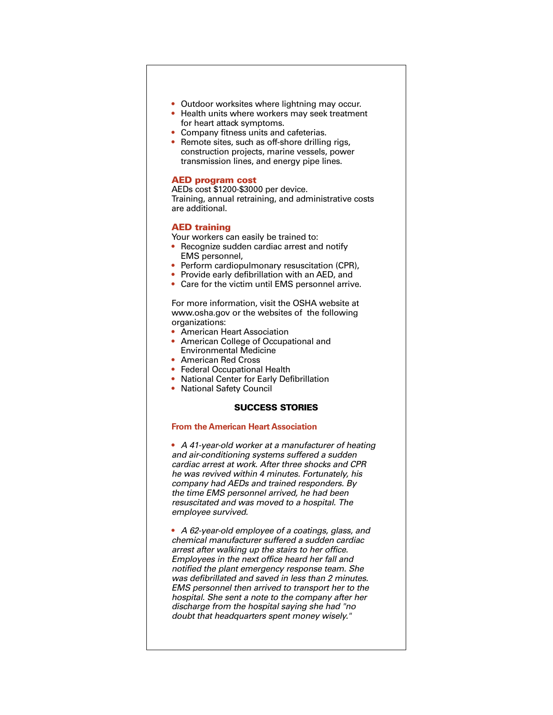- Outdoor worksites where lightning may occur.
- Health units where workers may seek treatment for heart attack symptoms.
- Company fitness units and cafeterias.
- Remote sites, such as off-shore drilling rigs, construction projects, marine vessels, power transmission lines, and energy pipe lines.

## **AED program cost**

AEDs cost \$1200-\$3000 per device. Training, annual retraining, and administrative costs are additional.

#### **AED training**

Your workers can easily be trained to:

- Recognize sudden cardiac arrest and notify EMS personnel,
- Perform cardiopulmonary resuscitation (CPR),
- Provide early defibrillation with an AED, and
- Care for the victim until EMS personnel arrive.

For more information, visit the OSHA website at www.osha.gov or the websites of the following organizations:

- American Heart Association
- American College of Occupational and Environmental Medicine
- American Red Cross
- Federal Occupational Health
- National Center for Early Defibrillation
- National Safety Council

# **SUCCESS STORIES**

#### **From the American Heart Association**

• *A 41-year-old worker at a manufacturer of heating and air-conditioning systems suffered a sudden cardiac arrest at work. After three shocks and CPR he was revived within 4 minutes. Fortunately, his company had AEDs and trained responders. By the time EMS personnel arrived, he had been resuscitated and was moved to a hospital. The employee survived.* 

• *A 62-year-old employee of a coatings, glass, and chemical manufacturer suffered a sudden cardiac arrest after walking up the stairs to her office. Employees in the next office heard her fall and notified the plant emergency response team. She was defibrillated and saved in less than 2 minutes. EMS personnel then arrived to transport her to the hospital. She sent a note to the company after her discharge from the hospital saying she had "no doubt that headquarters spent money wisely."*